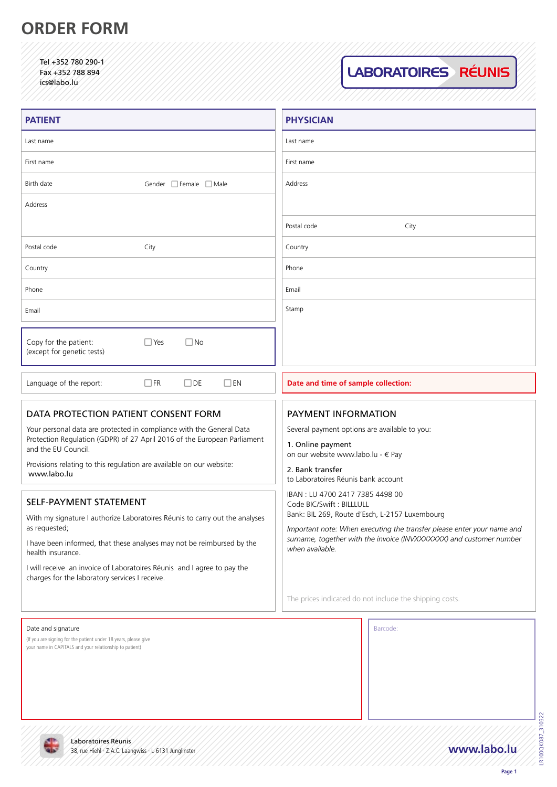# **ORDER FORM**

Tel +352 780 290-1 Fax +352 788 894 ics@labo.lu

LABORATOIRES RÉUNIS

| <b>PATIENT</b>                                                                                                                                                          | <b>PHYSICIAN</b>                                                                                                                                                                                                                                                                                                                                                                      |  |
|-------------------------------------------------------------------------------------------------------------------------------------------------------------------------|---------------------------------------------------------------------------------------------------------------------------------------------------------------------------------------------------------------------------------------------------------------------------------------------------------------------------------------------------------------------------------------|--|
| Last name                                                                                                                                                               | Last name                                                                                                                                                                                                                                                                                                                                                                             |  |
| First name                                                                                                                                                              | First name                                                                                                                                                                                                                                                                                                                                                                            |  |
| Birth date<br>Gender Female Male                                                                                                                                        | Address                                                                                                                                                                                                                                                                                                                                                                               |  |
| Address                                                                                                                                                                 |                                                                                                                                                                                                                                                                                                                                                                                       |  |
|                                                                                                                                                                         | Postal code<br>City                                                                                                                                                                                                                                                                                                                                                                   |  |
| Postal code<br>City                                                                                                                                                     | Country                                                                                                                                                                                                                                                                                                                                                                               |  |
| Country                                                                                                                                                                 | Phone                                                                                                                                                                                                                                                                                                                                                                                 |  |
| Phone                                                                                                                                                                   | Email                                                                                                                                                                                                                                                                                                                                                                                 |  |
| Email                                                                                                                                                                   | Stamp                                                                                                                                                                                                                                                                                                                                                                                 |  |
| Copy for the patient:<br>$\Box$ Yes<br>$\Box$ No<br>(except for genetic tests)                                                                                          |                                                                                                                                                                                                                                                                                                                                                                                       |  |
| Language of the report:<br>$\Box$ FR<br>$\Box$ DE<br>$\Box$ en                                                                                                          | Date and time of sample collection:                                                                                                                                                                                                                                                                                                                                                   |  |
| DATA PROTECTION PATIENT CONSENT FORM                                                                                                                                    | PAYMENT INFORMATION                                                                                                                                                                                                                                                                                                                                                                   |  |
| Your personal data are protected in compliance with the General Data<br>Protection Regulation (GDPR) of 27 April 2016 of the European Parliament<br>and the EU Council. | Several payment options are available to you:<br>1. Online payment                                                                                                                                                                                                                                                                                                                    |  |
| Provisions relating to this regulation are available on our website:<br>www.labo.lu                                                                                     | on our website www.labo.lu - $\in$ Pay<br>2. Bank transfer<br>to Laboratoires Réunis bank account<br>IBAN: LU 4700 2417 7385 4498 00<br>Code BIC/Swift: BILLLULL<br>Bank: BIL 269, Route d'Esch, L-2157 Luxembourg<br>Important note: When executing the transfer please enter your name and<br>surname, together with the invoice (INVXXXXXX) and customer number<br>when available. |  |
| SELF-PAYMENT STATEMENT                                                                                                                                                  |                                                                                                                                                                                                                                                                                                                                                                                       |  |
| With my signature I authorize Laboratoires Réunis to carry out the analyses<br>as requested;                                                                            |                                                                                                                                                                                                                                                                                                                                                                                       |  |
| I have been informed, that these analyses may not be reimbursed by the<br>health insurance.                                                                             |                                                                                                                                                                                                                                                                                                                                                                                       |  |
| I will receive an invoice of Laboratoires Réunis and I agree to pay the<br>charges for the laboratory services I receive.                                               |                                                                                                                                                                                                                                                                                                                                                                                       |  |
|                                                                                                                                                                         | The prices indicated do not include the shipping costs.                                                                                                                                                                                                                                                                                                                               |  |
| Date and signature                                                                                                                                                      | Barcode:                                                                                                                                                                                                                                                                                                                                                                              |  |

(If you are signing for the patient under 18 years, please give your name in CAPITALS and your relationship to patient)

Laboratoires Réunis

**KUI** 

LR100QK087\_310322 LR100QK087\_310322

**Page 1**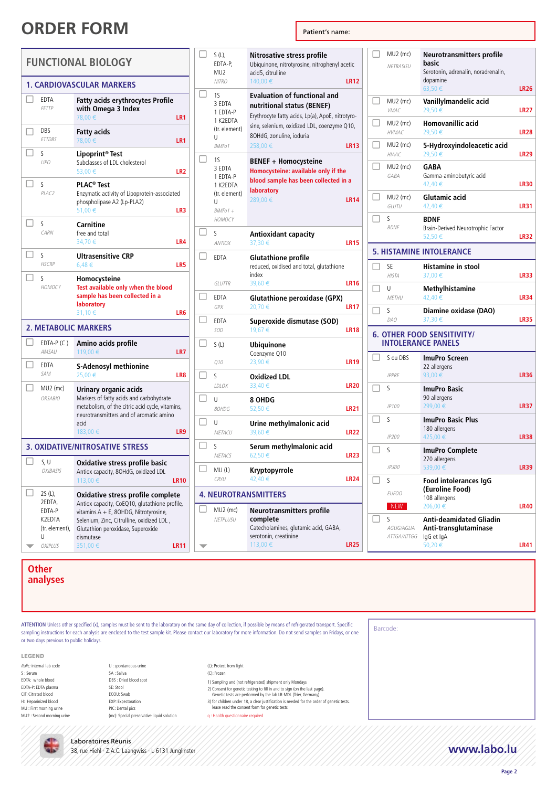|     |                                                                         | <b>FUNCTIONAL BIOLOGY</b>                                                                                                                                                                                                              |                 |
|-----|-------------------------------------------------------------------------|----------------------------------------------------------------------------------------------------------------------------------------------------------------------------------------------------------------------------------------|-----------------|
|     |                                                                         | 1. CARDIOVASCULAR MARKERS                                                                                                                                                                                                              |                 |
|     | <b>EDTA</b><br><b>FETTP</b>                                             | <b>Fatty acids erythrocytes Profile</b><br>with Omega 3 Index<br>78,00 €                                                                                                                                                               | LR1             |
| - 1 | DBS<br><b>ETTDBS</b>                                                    | Fatty acids<br>78,00€                                                                                                                                                                                                                  | LR1             |
|     | S<br>LIPO                                                               | Lipoprint <sup>®</sup> Test<br>Subclasses of LDL cholesterol<br>53,00€                                                                                                                                                                 | LR <sub>2</sub> |
| П   | S<br>PLAC2                                                              | PLAC <sup>®</sup> Test<br>Enzymatic activity of Lipoprotein-associated<br>phospholipase A2 (Lp-PLA2)<br>51,00€                                                                                                                         | LR3             |
| П   | S<br>CARN                                                               | Carnitine<br>free and total<br>34,70€                                                                                                                                                                                                  | LR4             |
| П   | S<br><b>HSCRP</b>                                                       | Ultrasensitive CRP<br>6,48€                                                                                                                                                                                                            | LR5             |
| ┓   | S<br>HOMOCY                                                             | Homocysteine<br>Test available only when the blood<br>sample has been collected in a<br>laboratory<br>31,10€                                                                                                                           | LR6             |
|     |                                                                         | <b>2. METABOLIC MARKERS</b>                                                                                                                                                                                                            |                 |
|     | EDTA-P (C)<br>AMSAU                                                     | Amino acids profile<br>119,00 €                                                                                                                                                                                                        | LR7             |
|     | EDTA<br>SAM                                                             | <b>S-Adenosyl methionine</b><br>25,00€                                                                                                                                                                                                 | LR8             |
|     | MU2 (mc)<br><b>ORSABIO</b>                                              | Urinary organic acids<br>Markers of fatty acids and carbohydrate<br>metabolism, of the citric acid cycle, vitamins,<br>neurotransmitters and of aromatic amino<br>acid<br>183,00€                                                      | LR9             |
|     |                                                                         | <b>3. OXIDATIVE/NITROSATIVE STRESS</b>                                                                                                                                                                                                 |                 |
|     | S, U<br>OXIBASIS                                                        | Oxidative stress profile basic<br>Antiox capacity, 8OHdG, oxidized LDL<br>113,00€                                                                                                                                                      | <b>LR10</b>     |
|     | 2S (L),<br>2EDTA,<br>EDTA-P<br>K2EDTA<br>(tr. element),<br>U<br>OXIPLUS | Oxidative stress profile complete<br>Antiox capacity, CoEQ10, glutathione profile,<br>vitamins A + E, 8OHDG, Nitrotyrosine,<br>, Selenium, Zinc, Citrulline, oxidized LDL<br>Glutathion peroxidase, Superoxide<br>dismutase<br>351,00€ | LR11            |

|                             | S (L),<br>EDTA-P,<br>MU <sub>2</sub>                                                      | Nitrosative stress profile<br>Ubiquinone, nitrotyrosine, nitrophenyl acetic<br>acid5, citrulline                                                                                                            |                  |
|-----------------------------|-------------------------------------------------------------------------------------------|-------------------------------------------------------------------------------------------------------------------------------------------------------------------------------------------------------------|------------------|
|                             | <b>NITRO</b>                                                                              | 140.00€                                                                                                                                                                                                     | <b>LR12</b>      |
| П                           | 15<br>3 EDTA<br>1 EDTA-P<br>1 K2EDTA<br>(tr. element)<br>U<br>BiMFo1                      | <b>Evaluation of functional and</b><br>nutritional status (BENEF)<br>Erythrocyte fatty acids, Lp(a), ApoE, nitrotyro-<br>sine, selenium, oxidized LDL, coenzyme Q10,<br>8OHdG, zonuline, ioduria<br>258,00€ | <b>LR13</b>      |
| $\mathsf{L}$                | 1S<br>3 EDTA<br>1 EDTA-P<br>1 K2EDTA<br>(tr. element)<br>U<br>$BiMFo1 +$<br><b>НОМОСҮ</b> | BENEF + Homocysteine<br>Homocysteine: available only if the<br>blood sample has been collected in a<br>laboratory<br>289,00€                                                                                | <b>LR14</b>      |
| □                           | S<br><b>ANTIOX</b>                                                                        | <b>Antioxidant capacity</b><br>37,30€                                                                                                                                                                       | <b>LR15</b>      |
|                             | EDTA<br>GLUTTR                                                                            | <b>Glutathione profile</b><br>reduced, oxidised and total, glutathione<br>index<br>39,60€                                                                                                                   | <b>LR16</b>      |
| П                           | EDTA<br><b>GPX</b>                                                                        | <b>Glutathione peroxidase (GPX)</b><br>20,70€                                                                                                                                                               | <b>LR17</b>      |
|                             | <b>EDTA</b><br><b>SOD</b>                                                                 | Superoxide dismutase (SOD)<br>19,67€                                                                                                                                                                        | <b>LR18</b>      |
|                             | S(L)                                                                                      | <b>Ubiquinone</b><br>Coenzyme Q10                                                                                                                                                                           |                  |
| П                           | 010                                                                                       | 23,90€                                                                                                                                                                                                      | <b>LR19</b>      |
|                             | S<br>LDLOX                                                                                | <b>Oxidized LDL</b><br>33,40 €                                                                                                                                                                              | LR <sub>20</sub> |
|                             | U<br>80HDG                                                                                | 8 OHDG<br>52,50€                                                                                                                                                                                            | <b>LR21</b>      |
|                             | U<br>METACU                                                                               | Urine methylmalonic acid<br>39,60€                                                                                                                                                                          | <b>LR22</b>      |
| $\mathsf{L}$                | S<br>METACS                                                                               | Serum methylmalonic acid<br>62,50€                                                                                                                                                                          | <b>LR23</b>      |
| ⊔                           | MU(L)<br>CRYU                                                                             | Kryptopyrrole<br>42,40 €                                                                                                                                                                                    | <b>LR24</b>      |
| <b>4. NEUROTRANSMITTERS</b> |                                                                                           |                                                                                                                                                                                                             |                  |
|                             | $MU2$ (mc)<br>NETPLUSU                                                                    | Neurotransmitters profile<br>complete<br>Catecholamines, glutamic acid, GABA,<br>serotonin, creatinine<br>113,00€                                                                                           | <b>LR25</b>      |

 $\Box$  MU2 (mc) NETBASISU **Neurotransmitters profile basic** Serotonin, adrenalin, noradrenalin, dopamine 63,50 € **LR26**  $\Box$  MU2 (mc) VMAC **Vanillylmandelic acid**  29,50 € **LR27**  $\Box$  MU2 (mc) HVMAC **Homovanillic acid**  29,50 € **LR28**  $\Box$  MU2 (mc) HIAAC **5-Hydroxyindoleacetic acid**  29,50 € **LR29**  $\Box$  MU2 (mc) GABA **GABA**  Gamma-aminobutyric acid 42,40 € **LR30**  $\Box$  MU2 (mc) GLUTU **Glutamic acid**  42,40 € **LR31**  $\Box$  s BDNF **BDNF**  Brain-Derived Neurotrophic Factor 52,50 € **LR32 5. HISTAMINE INTOLERANCE**  $\Box$  SE HISTA **Histamine in stool**  37,00 € **LR33**  $\Box$  U METHU **Methylhistamine**  42,40 € **LR34**  $\Box$  s DAO **Diamine oxidase (DAO)**  37,30 € **LR35 6. OTHER FOOD SENSITIVITY/ INTOLERANCE PANELS**  $\Box$  S ou DBS IPPRE **ImuPro Screen** 22 allergens 93,00 € **LR36**  $\Box$  s IP100 **ImuPro Basic** 90 allergens 299,00 € **LR37**  $\Box$  s IP200 **ImuPro Basic Plus** 180 allergens 425,00 € **LR38**  $\overline{\Box}$  s IP300 **ImuPro Complete** 270 allergens 539,00 € **LR39**  $\Box$  s EUFOO NEW **Food intolerances IgG (Euroline Food)** 108 allergens 206,00 € **LR40**  $\Box$  s AGLIG/AGLIA **Anti-deamidated Gliadin Anti-transglutaminase**

**Other** 

**analyses**

ATTENTION Unless other specified (x), samples must be sent to the laboratory on the same day of collection, if possible by means of refrigerated transport. Specific sampling instructions for each analysis are enclosed to the test sample kit. Please contact our laboratory for more information. Do not send samples on Fridays, or one or two days previous to public holidays.

LEGEND

- Italic: internal lab code S : Serum EDTA: whole blood EDTA-P: EDTA plasma CIT: Citrated blood H: Heparinized blood MU : First morning urine MU2 : Second morning urine
- U : spontaneous urine SA : Saliva DBS : Dried blood spot SE: Stool ECOU: Swab EXP: Expectoration PIC: Dental pics

(mc): Special preservative liquid solution

(L): Protect from light

- (C): Frozen
- 1) Sampling and (not refrigerated) shipment only Mondays
- 2) Consent for genetic testing to fill in and to sign (on the last page). Genetic tests are performed by the lab LR-MDL (Trier, Germany)
- 

3) for children under 18, a clear justification is needed for the order of genetic tests. lease read the consent form for genetic tests

q : Health questionnaire required

Barcode:

ATTGA/ATTGG

IgG et IgA

50,20 € **LR41**



Laboratoires Réunis 38, rue Hiehl · Z.A.C. Laangwiss · L-6131 Junglinster **www.labo.lu**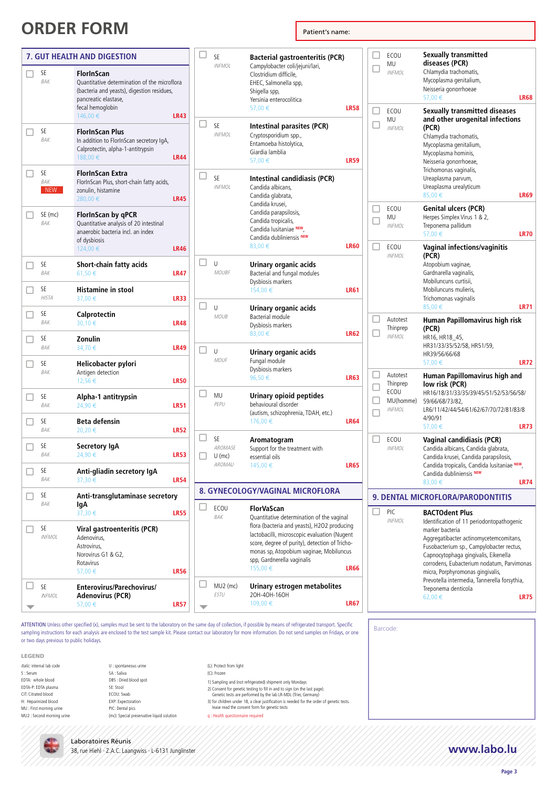|              | 7. GUT HEALTH AND DIGESTION |                                                                                                                                                                         |             |  |
|--------------|-----------------------------|-------------------------------------------------------------------------------------------------------------------------------------------------------------------------|-------------|--|
| H            | SE<br><b>BAK</b>            | <b>FlorInScan</b><br>Quantitative determination of the microflora<br>(bacteria and yeasts), digestion residues,<br>pancreatic elastase,<br>fecal hemoglobin<br>146,00 € | <b>LR43</b> |  |
| $\mathbf{1}$ | SE<br>BAK                   | <b>FlorInScan Plus</b><br>In addition to FlorInScan secretory IgA,<br>Calprotectin, alpha-1-antitrypsin<br>188.00 €                                                     | <b>LR44</b> |  |
|              | SE<br>BAK<br><b>NEW</b>     | FlorInScan Extra<br>FlorInScan Plus, short-chain fatty acids,<br>zonulin, histamine<br>280,00€                                                                          | <b>LR45</b> |  |
| - 1          | SE (mc)<br>BAK              | FlorInScan by qPCR<br>Quantitative analysis of 20 intestinal<br>anaerobic bacteria incl. an index<br>of dysbiosis<br>124,00 €                                           | <b>LR46</b> |  |
| П            | SF<br>BAK                   | Short-chain fatty acids<br>61,50€                                                                                                                                       | <b>LR47</b> |  |
| П            | SE<br><b>HISTA</b>          | <b>Histamine in stool</b><br>37,00 €                                                                                                                                    | <b>LR33</b> |  |
| П            | SE<br>BAK                   | Calprotectin<br>30,10€                                                                                                                                                  | <b>LR48</b> |  |
|              | SE<br>BAK                   | Zonulin<br>34,70€                                                                                                                                                       | <b>LR49</b> |  |
| . I          | SE<br>BAK                   | Helicobacter pylori<br>Antigen detection<br>12,56€                                                                                                                      | <b>LR50</b> |  |
|              | SE<br>BAK                   | Alpha-1 antitrypsin<br>24,90€                                                                                                                                           | <b>LR51</b> |  |
|              | SE<br><b>BAK</b>            | Beta defensin<br>20,20€                                                                                                                                                 | <b>LR52</b> |  |
| - 1          | SE<br><b>BAK</b>            | Secretory IgA<br>24,90€                                                                                                                                                 | <b>LR53</b> |  |
|              | SE<br>BAK                   | Anti-gliadin secretory IgA<br>37,30 €                                                                                                                                   | <b>LR54</b> |  |
|              | SE<br>BAK                   | Anti-transglutaminase secretory<br>lgA<br>37,30 €                                                                                                                       | <b>LR55</b> |  |
|              | SE<br><b>INFMOL</b>         | Viral gastroenteritis (PCR)<br>Adenovirus,<br>Astrovirus,<br>Norovirus G1 & G2,<br>Rotavirus<br>57,00€                                                                  | <b>LR56</b> |  |
|              | SE<br><b>INFMOL</b>         | Enterovirus/Parechovirus/<br>Adenovirus (PCR)<br>57,00€                                                                                                                 | <b>LR57</b> |  |

| SE<br><b>INFMOL</b>                 | <b>Bacterial gastroenteritis (PCR)</b><br>Campylobacter coli/jejuni/lari,<br>Clostridium difficile.<br>EHEC, Salmonella spp,<br>Shigella spp,<br>Yersinia enterocolitica<br>57,00€                                                                                                           | <b>LR58</b> |
|-------------------------------------|----------------------------------------------------------------------------------------------------------------------------------------------------------------------------------------------------------------------------------------------------------------------------------------------|-------------|
| SE<br><b>INFMOL</b>                 | <b>Intestinal parasites (PCR)</b><br>Cryptosporidium spp.,<br>Entamoeba histolytica,<br>Giardia lamblia<br>57,00€                                                                                                                                                                            | <b>LR59</b> |
| SE<br><b>INFMOL</b>                 | <b>Intestinal candidiasis (PCR)</b><br>Candida albicans,<br>Candida glabrata,<br>Candida krusei,<br>Candida parapsilosis,<br>Candida tropicalis,<br>Candida lusitaniae NEW,<br>Candida dubliniensis NEW<br>83,00€                                                                            | <b>LR60</b> |
| U<br><b>MOUBF</b>                   | Urinary organic acids<br>Bacterial and fungal modules<br>Dysbiosis markers<br>154,00€                                                                                                                                                                                                        | <b>LR61</b> |
| U<br><b>MOUB</b>                    | Urinary organic acids<br>Bacterial module<br>Dysbiosis markers<br>83,00€                                                                                                                                                                                                                     | <b>LR62</b> |
| U<br>MOUF                           | Urinary organic acids<br>Fungal module<br>Dysbiosis markers<br>96,50€                                                                                                                                                                                                                        | <b>LR63</b> |
| MU<br>PEPU                          | Urinary opioid peptides<br>behavioural disorder<br>(autism, schizophrenia, TDAH, etc.)<br>176,00€                                                                                                                                                                                            | <b>LR64</b> |
| SE<br>AROMASE<br>$U$ (mc)<br>AROMAU | Aromatogram<br>Support for the treatment with<br>essential oils<br>145,00 €                                                                                                                                                                                                                  | <b>LR65</b> |
|                                     | 8. GYNECOLOGY/VAGINAL MICROFLORA                                                                                                                                                                                                                                                             |             |
| ECOU<br>BAK                         | FlorVaScan<br>Quantitative determination of the vaginal<br>flora (bacteria and yeasts), H2O2 producing<br>lactobacilli, microscopic evaluation (Nugent<br>score, degree of purity), detection of Tricho-<br>monas sp, Atopobium vaginae, Mobiluncus<br>spp, Gardnerella vaginalis<br>155,00€ | <b>LR66</b> |
| MU2 (mc)<br><b>ESTU</b>             | Urinary estrogen metabolites<br>20H-40H-160H<br>109,00€                                                                                                                                                                                                                                      | <b>LR67</b> |

ATTENTION Unless other specified (x), samples must be sent to the laboratory on the same day of collection, if possible by means of refrigerated transport. Specific sampling instructions for each analysis are enclosed to the test sample kit. Please contact our laboratory for more information. Do not send samples on Fridays, or one or two days previous to public holidays.

- LEGEND
- Italic: internal lab code S : Serum EDTA: whole blood EDTA-P: EDTA plasma CIT: Citrated blood H: Heparinized blood MU : First morning urine MU2 : Second morning urine
- U : spontaneous urine SA : Saliva DBS : Dried blood spot SE: Stool ECOU: Swab EXP: Expectoration PIC: Dental pics (mc): Special preservative liquid solution
- (L): Protect from light (C): Frozen
	- 1) Sampling and (not refrigerated) shipment only Mondays
	- 2) Consent for genetic testing to fill in and to sign (on the last page). Genetic tests are performed by the lab LR-MDL (Trier, Germany)
	- 3) for children under 18, a clear justification is needed for the order of genetic tests.
	- lease read the consent form for genetic tests

q : Health questionnaire required

Barcode:

### Laboratoires Réunis 38, rue Hiehl · Z.A.C. Laangwiss · L-6131 Junglinster **www.labo.lu**

**Page 3**

 $\Box$  $\Box$ 

 $\Box$  $\Box$ 

 $\Box$  $\Box$ 

 $\Box$  $\Box$ 

 $\Box$  $\Box$  $\Box$  $\Box$  Autotest Thinprep INFMOL

Autotest Thinprep **ECOU** MU(homme) INFMOL

 $\Box$   $FCOU$ INFMOL

> PIC INFMOL

ECOU MU INFMOL

 $\square$  ECOU INFMOL

ECOU MU INFMOL

ECOU MU INFMOL **Sexually transmitted diseases (PCR)** Chlamydia trachomatis, Mycoplasma genitalium, Neisseria gonorrhoeae

Chlamydia trachomatis, Mycoplasma genitalium, Mycoplasma hominis, Neisseria gonorrhoeae, Trichomonas vaginalis, Ureaplasma parvum, Ureaplasma urealyticum

**Genital ulcers (PCR)** Herpes Simplex Virus 1 & 2, Treponema pallidum

**(PCR)**

**(PCR)** Atopobium vaginae, Gardnarella vaginalis, Mobiluncuns curtisii, Mobiluncuns mulieris, Trichomonas vaginalis

**(PCR)** HR16, HR18\_45, HR31/33/35/52/58, HR51/59, HR39/56/66/68

**low risk (PCR)**

59/66/68/73/82,

4/90/91

57,00 € **LR68**

85,00 € **LR69**

57,00 € **LR70**

85,00 € **LR71**

57,00 € **LR72**

**Human Papillomavirus high and** 

HR16/18/31/33/35/39/45/51/52/53/56/58/

LR6/11/42/44/54/61/62/67/70/72/81/83/8

Identification of 11 periodontopathogenic

Aggregatibacter actinomycetemcomitans, Fusobacterium sp., Campylobacter rectus, Capnocytophaga gingivalis, Eikenella corrodens, Eubacterium nodatum, Parvimonas micra, Porphyromonas gingivalis, Prevotella intermedia, Tannerella forsythia,

62,00 € **LR75**

**Vaginal candidiasis (PCR)** Candida albicans, Candida glabrata, Candida krusei, Candida parapsilosis, Candida tropicalis, Candida lusitaniae **NEW**,

Candida dubliniensis **NEW**

**9. DENTAL MICROFLORA/PARODONTITIS**

marker bacteria

**BACTOdent Plus**

Treponema denticola

57,00 € **LR73**

LR74

**Human Papillomavirus high risk** 

**Vaginal infections/vaginitis** 

**Sexually transmitted diseases and other urogenital infections**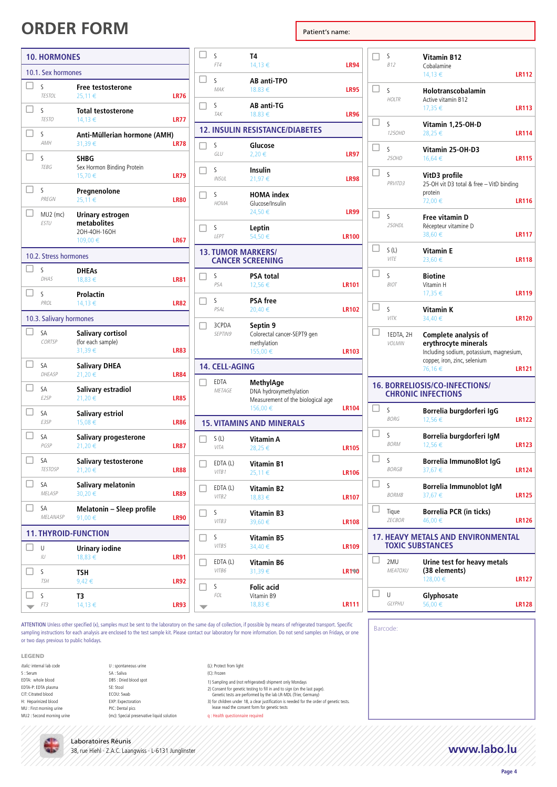| 10.1. Sex hormones                                                                      |             |
|-----------------------------------------------------------------------------------------|-------------|
|                                                                                         |             |
| П<br>S<br>Free testosterone<br><b>TESTOL</b><br>25,11€                                  | <b>LR76</b> |
| S<br><b>Total testosterone</b><br><b>TESTO</b><br>14,13€                                | <b>LR77</b> |
| S<br>Anti-Müllerian hormone (AMH)<br><b>AMH</b><br>31,39€                               | <b>LR78</b> |
| S<br>SHBG<br><b>TEBG</b><br>Sex Hormon Binding Protein<br>15,70€                        | <b>LR79</b> |
| S<br>Pregnenolone<br>PREGN<br>25,11€                                                    | <b>LR80</b> |
| $MU2$ (mc)<br>Urinary estrogen<br><b>ESTU</b><br>metabolites<br>20H-40H-160H<br>109,00€ | <b>LR67</b> |
| 10.2. Stress hormones                                                                   |             |
| S<br><b>DHEAs</b><br>DHAS<br>18,83 €                                                    | <b>LR81</b> |
| П<br>S<br>Prolactin<br>PROI<br>14,13€                                                   | <b>LR82</b> |
| 10.3. Salivary hormones                                                                 |             |
| $\mathsf{L}$<br>SA<br><b>Salivary cortisol</b><br>CORTSP<br>(for each sample)<br>31,39€ | <b>LR83</b> |
| SA<br><b>Salivary DHEA</b><br>DHEASP<br>21,20€                                          | <b>LR84</b> |
| SA<br>Salivary estradiol<br>E2SP<br>21,20€                                              | <b>LR85</b> |
| - 1<br>SA<br>Salivary estriol<br>E3SP<br>15,08€                                         | <b>LR86</b> |
| П<br>SA<br>Salivary progesterone<br>PGSP<br>21,20€                                      | <b>LR87</b> |
| SА<br>Salivary testosterone<br>21,20€<br><b>TESTOSP</b>                                 | <b>LR88</b> |
| SA<br>Salivary melatonin<br>30,20€<br>MELASP                                            | <b>LR89</b> |
| $\mathsf{L}$<br>Melatonin - Sleep profile<br>SA<br>MELANASP<br>91,00€                   | <b>LR90</b> |
| <b>11. THYROID-FUNCTION</b>                                                             |             |
| U<br><b>Urinary iodine</b><br>IU<br>18,83€                                              | <b>LR91</b> |
| ς<br>TSH<br><b>TSH</b><br>9,42€                                                         | <b>LR92</b> |
|                                                                                         |             |

|                          | S<br>FT4                  | T4<br>14,13 €                                                                       | <b>LR94</b>  |
|--------------------------|---------------------------|-------------------------------------------------------------------------------------|--------------|
| $\mathsf{L}$             | S<br>MAK                  | <b>AB anti-TPO</b><br>18.83 €                                                       | <b>LR95</b>  |
| П                        | S<br>TAK                  | AB anti-TG<br>18.83 €                                                               | <b>LR96</b>  |
|                          |                           | <b>12. INSULIN RESISTANCE/DIABETES</b>                                              |              |
| ٦                        | S<br>GLU                  | Glucose<br>2,20€                                                                    | <b>LR97</b>  |
| П                        | S<br>INSUL                | <b>Insulin</b><br>21,97€                                                            | <b>LR98</b>  |
|                          | S<br>HOMA                 | <b>HOMA</b> index<br>Glucose/Insulin<br>24,50€                                      | <b>LR99</b>  |
| п                        | S<br>LEPT                 | Leptin<br>54,50€                                                                    | <b>LR100</b> |
|                          | <b>13. TUMOR MARKERS/</b> | <b>CANCER SCREENING</b>                                                             |              |
| H                        | S<br>PSA                  | <b>PSA total</b><br>12,56€                                                          | <b>LR101</b> |
|                          | S<br>PSAL                 | <b>PSA</b> free<br>20,40€                                                           | <b>LR102</b> |
| П                        | 3CPDA<br>SEPTIN9          | Septin 9<br>Colorectal cancer-SEPT9 gen<br>methylation<br>155,00€                   | <b>LR103</b> |
|                          | 14. CELL-AGING            |                                                                                     |              |
| П                        | EDTA<br>METAGE            | MethylAge<br>DNA hydroxymethylation<br>Measurement of the biological age<br>156,00€ | <b>LR104</b> |
|                          |                           | <b>15. VITAMINS AND MINERALS</b>                                                    |              |
| П                        | S (L)<br>VITA             | Vitamin A<br>28,25€                                                                 | <b>LR105</b> |
| $\Box$                   | EDTA (L)<br>VITB1         | <b>Vitamin B1</b><br>25,11€                                                         | <b>LR106</b> |
| H                        | EDTA (L)<br>VITB2         | <b>Vitamin B2</b><br>18,83€                                                         | <b>LR107</b> |
|                          | S<br>VITB3                | Vitamin B3<br>39,60€                                                                | <b>LR108</b> |
|                          | ς<br>VITB5                | Vitamin B5<br>34,40€                                                                | <b>LR109</b> |
|                          | EDTA (L)<br>VITB6         | Vitamin B6<br>31,39€                                                                | <b>LR110</b> |
|                          | S<br>FOL                  | Folic acid<br>Vitamin B9                                                            |              |
| $\overline{\phantom{0}}$ |                           | 18,83 €                                                                             | LR111        |

 $\Box$  s B12 **Vitamin B12**  Cobalamine 14,13 € **LR112**  $\Box$ HOLTR **Holotranscobalamin** Active vitamin B12 17,35 € **LR113**  $\Box$  s 125OHD **Vitamin 1,25-OH-D**  28,25 € **LR114**  $\Box$  s 25OHD **Vitamin 25-OH-D3**  16,64 € **LR115**  $\Box$  s PRVITD3 **VitD3 profile** 25-OH vit D3 total & free – VitD binding protein 72,00 € **LR116**  $\Box$ 250HDL **Free vitamin D** Récepteur vitamine D 38,60 € **LR117**  $\Box$  S(L) VITE **Vitamin E**  23,60 € **LR118**  $\Box$  s BIOT **Biotine** Vitamin H 17,35 € **LR119**  $\Box$  s VITK **Vitamin K**  34,40 € **LR120**  $\Box$  1EDTA, 2H VOLMIN **Complete analysis of erythrocyte minerals** Including sodium, potassium, magnesium, copper, iron, zinc, selenium 76,16 € **LR121 16. BORRELIOSIS/CO-INFECTIONS/ CHRONIC INFECTIONS**  $\Box$  s BORG **Borrelia burgdorferi IgG**  12,56 € **LR122**  $\Box$  s BORM **Borrelia burgdorferi IgM**  12,56 € **LR123**  $\Box$ BORGB **Borrelia ImmunoBlot IgG**  37,67 € **LR124**  $\Box$  s BORMB **Borrelia Immunoblot IgM**  37,67 € **LR125**  $\square$  Tique ZECBOR **Borrelia PCR (in ticks)**  46,00 € **LR126 17. HEAVY METALS AND ENVIRONMENTAL TOXIC SUBSTANCES**  $\Box$  2MU MEATOXU **Urine test for heavy metals (38 elements)** 128,00 € **LR127**  $\Box$ u GLYPHU **Glyphosate**  56,00 € **LR128**

Barcode:

ATTENTION Unless other specified (x), samples must be sent to the laboratory on the same day of collection, if possible by means of refrigerated transport. Specific sampling instructions for each analysis are enclosed to the test sample kit. Please contact our laboratory for more information. Do not send samples on Fridays, or one or two days previous to public holidays.

- LEGEND
- Italic: internal lab code S : Serum EDTA: whole blood EDTA-P: EDTA plasma CIT: Citrated blood H: Heparinized blood MU : First morning urine MU2 : Second morning urine
- U : spontaneous urine SA : Saliva DBS : Dried blood spot SE: Stool ECOU: Swab EXP: Expectoration PIC: Dental pics (mc): Special preservative liquid solution

(C): Frozen

(L): Protect from light

- 1) Sampling and (not refrigerated) shipment only Mondays
- 2) Consent for genetic testing to fill in and to sign (on the last page). Genetic tests are performed by the lab LR-MDL (Trier, Germany)
- 3) for children under 18, a clear justification is needed for the order of genetic tests. lease read the consent form for genetic tests

q : Health questionnaire required